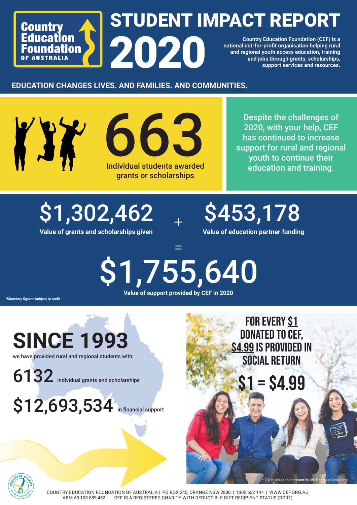# STUDENT IMPACT REPORT

2020 **Country Education Foundation (CEF) is a national not-for-profit organisation helping rural and regional youth access education, training and jobs through grants, scholarships, support services and resources.**

**EDUCATION CHANGES LIVES. AND FAMILIES. AND COMMUNITIES.**

Individual students awarded grants or scholarships

Despite the challenges of 2020, with your help, CEF has continued to increase support for rural and regional Ware the challenges of the challenges of the challenges of the challenges of the challenges of the challenges of the challenges of the challenges of the challenges of the challenges of the challenges of the challenges of t education and training.

**Value of grants and scholarships given**  $$1,302,462$   $$453,178$ 

**Value of education partner funding**

\$1,755,640 **Value of support provided by CEF in 2020** =

+

\*Monetary figures subject to audit

**Country** 

**Education Foundation** 

**OF AUSTRALIA** 

**SINCE 1993**

we have provided rural and regional students with;

6132 individual grants and scholarships

\$12,693,534 in financial support

**FOR EVERY \$1** DONATED TO CEF, \$4.99 IS PROVIDED IN social return

# $$1 = $4.99$

\* 2019 Independent report by180 De



COUNTRY EDUCATION FOUNDATION OF AUSTRALIA | PO BOX 245, ORANGE NSW 2800 | 1300 652 144 | WWW.CEF.ORG.AU ABN: 60 103 889 452 CEF IS A REGISTERED CHARITY WITH DEDUCTIBLE GIFT RECIPIENT STATUS (DGR1)